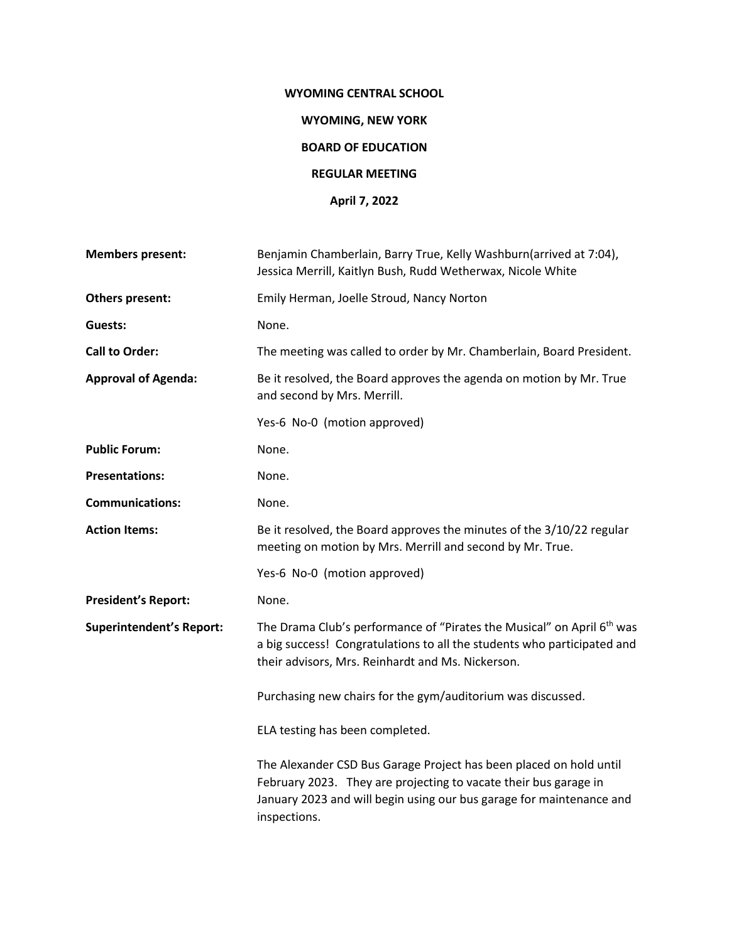# **WYOMING CENTRAL SCHOOL**

#### **WYOMING, NEW YORK**

## **BOARD OF EDUCATION**

#### **REGULAR MEETING**

### **April 7, 2022**

| <b>Members present:</b>         | Benjamin Chamberlain, Barry True, Kelly Washburn(arrived at 7:04),<br>Jessica Merrill, Kaitlyn Bush, Rudd Wetherwax, Nicole White                                                                                              |
|---------------------------------|--------------------------------------------------------------------------------------------------------------------------------------------------------------------------------------------------------------------------------|
| Others present:                 | Emily Herman, Joelle Stroud, Nancy Norton                                                                                                                                                                                      |
| Guests:                         | None.                                                                                                                                                                                                                          |
| <b>Call to Order:</b>           | The meeting was called to order by Mr. Chamberlain, Board President.                                                                                                                                                           |
| <b>Approval of Agenda:</b>      | Be it resolved, the Board approves the agenda on motion by Mr. True<br>and second by Mrs. Merrill.                                                                                                                             |
|                                 | Yes-6 No-0 (motion approved)                                                                                                                                                                                                   |
| <b>Public Forum:</b>            | None.                                                                                                                                                                                                                          |
| <b>Presentations:</b>           | None.                                                                                                                                                                                                                          |
| <b>Communications:</b>          | None.                                                                                                                                                                                                                          |
| <b>Action Items:</b>            | Be it resolved, the Board approves the minutes of the 3/10/22 regular<br>meeting on motion by Mrs. Merrill and second by Mr. True.                                                                                             |
|                                 | Yes-6 No-0 (motion approved)                                                                                                                                                                                                   |
| <b>President's Report:</b>      | None.                                                                                                                                                                                                                          |
| <b>Superintendent's Report:</b> | The Drama Club's performance of "Pirates the Musical" on April 6 <sup>th</sup> was<br>a big success! Congratulations to all the students who participated and<br>their advisors, Mrs. Reinhardt and Ms. Nickerson.             |
|                                 | Purchasing new chairs for the gym/auditorium was discussed.                                                                                                                                                                    |
|                                 | ELA testing has been completed.                                                                                                                                                                                                |
|                                 | The Alexander CSD Bus Garage Project has been placed on hold until<br>February 2023. They are projecting to vacate their bus garage in<br>January 2023 and will begin using our bus garage for maintenance and<br>inspections. |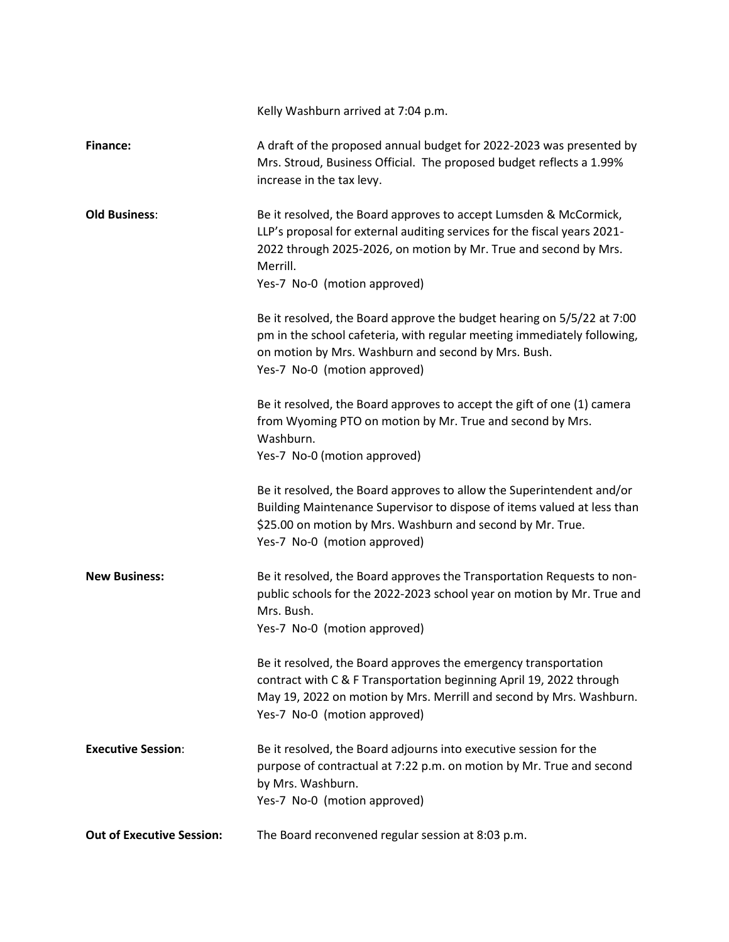|                                  | Kelly Washburn arrived at 7:04 p.m.                                                                                                                                                                                                                           |
|----------------------------------|---------------------------------------------------------------------------------------------------------------------------------------------------------------------------------------------------------------------------------------------------------------|
| <b>Finance:</b>                  | A draft of the proposed annual budget for 2022-2023 was presented by<br>Mrs. Stroud, Business Official. The proposed budget reflects a 1.99%<br>increase in the tax levy.                                                                                     |
| <b>Old Business:</b>             | Be it resolved, the Board approves to accept Lumsden & McCormick,<br>LLP's proposal for external auditing services for the fiscal years 2021-<br>2022 through 2025-2026, on motion by Mr. True and second by Mrs.<br>Merrill.<br>Yes-7 No-0 (motion approved) |
|                                  | Be it resolved, the Board approve the budget hearing on 5/5/22 at 7:00<br>pm in the school cafeteria, with regular meeting immediately following,<br>on motion by Mrs. Washburn and second by Mrs. Bush.<br>Yes-7 No-0 (motion approved)                      |
|                                  | Be it resolved, the Board approves to accept the gift of one (1) camera<br>from Wyoming PTO on motion by Mr. True and second by Mrs.<br>Washburn.<br>Yes-7 No-0 (motion approved)                                                                             |
|                                  | Be it resolved, the Board approves to allow the Superintendent and/or<br>Building Maintenance Supervisor to dispose of items valued at less than<br>\$25.00 on motion by Mrs. Washburn and second by Mr. True.<br>Yes-7 No-0 (motion approved)                |
| <b>New Business:</b>             | Be it resolved, the Board approves the Transportation Requests to non-<br>public schools for the 2022-2023 school year on motion by Mr. True and<br>Mrs. Bush.<br>Yes-7 No-0 (motion approved)                                                                |
|                                  | Be it resolved, the Board approves the emergency transportation<br>contract with C & F Transportation beginning April 19, 2022 through<br>May 19, 2022 on motion by Mrs. Merrill and second by Mrs. Washburn.<br>Yes-7 No-0 (motion approved)                 |
| <b>Executive Session:</b>        | Be it resolved, the Board adjourns into executive session for the<br>purpose of contractual at 7:22 p.m. on motion by Mr. True and second<br>by Mrs. Washburn.<br>Yes-7 No-0 (motion approved)                                                                |
| <b>Out of Executive Session:</b> | The Board reconvened regular session at 8:03 p.m.                                                                                                                                                                                                             |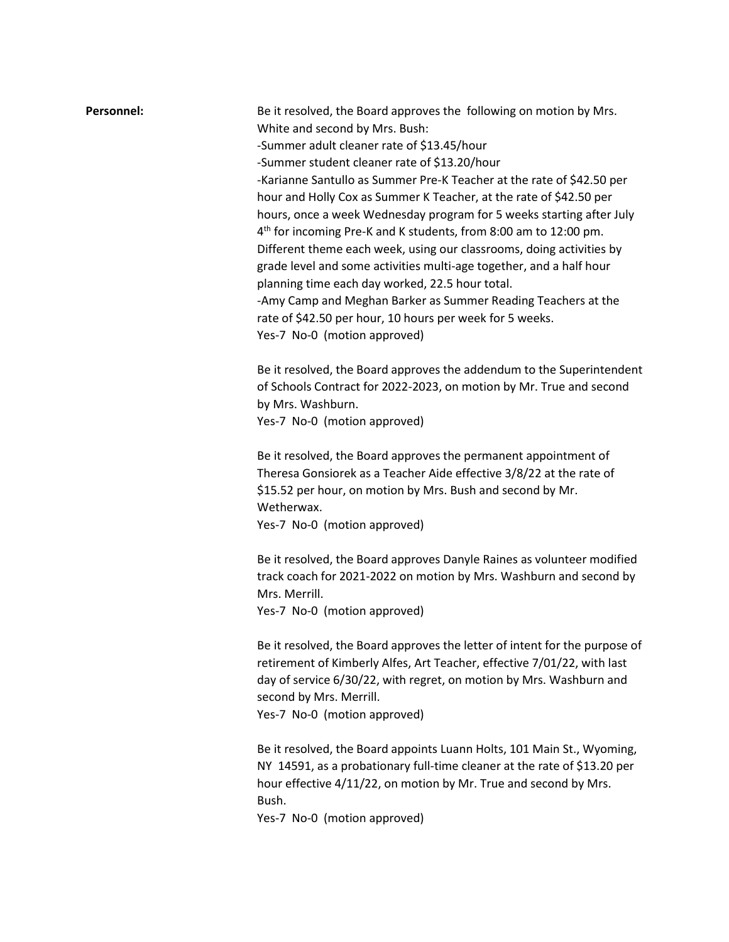| Personnel: | Be it resolved, the Board approves the following on motion by Mrs.                                                                                                                                   |
|------------|------------------------------------------------------------------------------------------------------------------------------------------------------------------------------------------------------|
|            | White and second by Mrs. Bush:                                                                                                                                                                       |
|            | -Summer adult cleaner rate of \$13.45/hour                                                                                                                                                           |
|            | -Summer student cleaner rate of \$13.20/hour                                                                                                                                                         |
|            | -Karianne Santullo as Summer Pre-K Teacher at the rate of \$42.50 per                                                                                                                                |
|            | hour and Holly Cox as Summer K Teacher, at the rate of \$42.50 per                                                                                                                                   |
|            | hours, once a week Wednesday program for 5 weeks starting after July                                                                                                                                 |
|            | 4 <sup>th</sup> for incoming Pre-K and K students, from 8:00 am to 12:00 pm.                                                                                                                         |
|            | Different theme each week, using our classrooms, doing activities by                                                                                                                                 |
|            | grade level and some activities multi-age together, and a half hour                                                                                                                                  |
|            | planning time each day worked, 22.5 hour total.                                                                                                                                                      |
|            | -Amy Camp and Meghan Barker as Summer Reading Teachers at the                                                                                                                                        |
|            | rate of \$42.50 per hour, 10 hours per week for 5 weeks.                                                                                                                                             |
|            | Yes-7 No-0 (motion approved)                                                                                                                                                                         |
|            | Be it resolved, the Board approves the addendum to the Superintendent                                                                                                                                |
|            | of Schools Contract for 2022-2023, on motion by Mr. True and second                                                                                                                                  |
|            | by Mrs. Washburn.                                                                                                                                                                                    |
|            | Yes-7 No-0 (motion approved)                                                                                                                                                                         |
|            | Be it resolved, the Board approves the permanent appointment of<br>Theresa Gonsiorek as a Teacher Aide effective 3/8/22 at the rate of<br>\$15.52 per hour, on motion by Mrs. Bush and second by Mr. |
|            | Wetherwax.                                                                                                                                                                                           |
|            | Yes-7 No-0 (motion approved)                                                                                                                                                                         |
|            | Be it resolved, the Board approves Danyle Raines as volunteer modified<br>track coach for 2021-2022 on motion by Mrs. Washburn and second by                                                         |
|            | Mrs. Merrill.                                                                                                                                                                                        |
|            | Yes-7 No-0 (motion approved)                                                                                                                                                                         |
|            |                                                                                                                                                                                                      |
|            | Be it resolved, the Board approves the letter of intent for the purpose of                                                                                                                           |
|            | retirement of Kimberly Alfes, Art Teacher, effective 7/01/22, with last                                                                                                                              |
|            | day of service 6/30/22, with regret, on motion by Mrs. Washburn and                                                                                                                                  |
|            | second by Mrs. Merrill.                                                                                                                                                                              |
|            | Yes-7 No-0 (motion approved)                                                                                                                                                                         |
|            | Be it resolved, the Board appoints Luann Holts, 101 Main St., Wyoming,                                                                                                                               |
|            | NY 14591, as a probationary full-time cleaner at the rate of \$13.20 per<br>hour effective 4/11/22, on motion by Mr. True and second by Mrs.<br>Bush.                                                |

Yes-7 No-0 (motion approved)